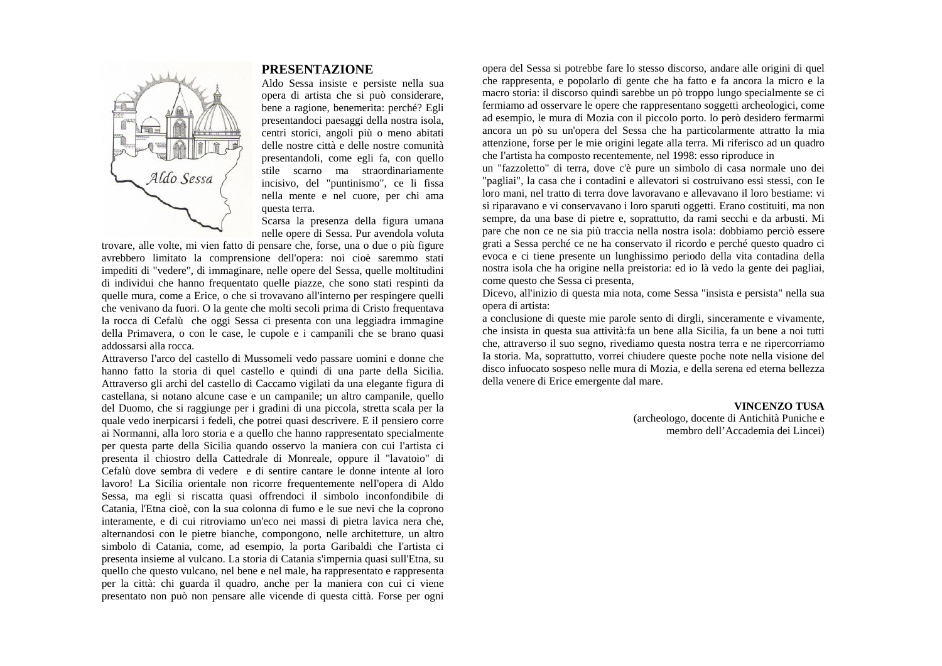

## **PRESENTAZIONE**

Aldo Sessa insiste e persiste nella sua opera di artista che si può considerare, bene a ragione, benemerita: perché? Egli presentandoci paesaggi della nostra isola, centri storici, angoli più o meno abitati delle nostre città e delle nostre comunità presentandoli, come egli fa, con quello stile scarno ma straordinariamente incisivo, del "puntinismo", ce li fissa nella mente e nel cuore, per chi ama questa terra.

Scarsa la presenza della figura umana nelle opere di Sessa. Pur avendola voluta

trovare, alle volte, mi vien fatto di pensare che, forse, una o due o più figure avrebbero limitato la comprensione dell'opera: noi cioè saremmo stati impediti di "vedere", di immaginare, nelle opere del Sessa, quelle moltitudini di individui che hanno frequentato quelle piazze, che sono stati respinti da quelle mura, come a Erice, o che si trovavano all'interno per respingere quelli che venivano da fuori. O la gente che molti secoli prima di Cristo frequentava la rocca di Cefalù che oggi Sessa ci presenta con una leggiadra immagine della Primavera, o con le case, le cupole e i campanili che se brano quasi addossarsi alla rocca.

Attraverso I'arco del castello di Mussomeli vedo passare uomini e donne che hanno fatto la storia di quel castello e quindi di una parte della Sicilia. Attraverso gli archi del castello di Caccamo vigilati da una elegante figura di castellana, si notano alcune case e un campanile; un altro campanile, quello del Duomo, che si raggiunge per i gradini di una piccola, stretta scala per la quale vedo inerpicarsi i fedeli, che potrei quasi descrivere. E il pensiero corre ai Normanni, alla loro storia e a quello che hanno rappresentato specialmente per questa parte della Sicilia quando osservo la maniera con cui I'artista ci presenta il chiostro della Cattedrale di Monreale, oppure il "lavatoio" di Cefalù dove sembra di vedere e di sentire cantare le donne intente al loro lavoro! La Sicilia orientale non ricorre frequentemente nelI'opera di Aldo Sessa, ma egli si riscatta quasi offrendoci il simbolo inconfondibile di Catania, l'Etna cioè, con la sua colonna di fumo e le sue nevi che la coprono interamente, e di cui ritroviamo un'eco nei massi di pietra lavica nera che, alternandosi con le pietre bianche, compongono, nelle architetture, un altro simbolo di Catania, come, ad esempio, la porta Garibaldi che I'artista ci presenta insieme al vulcano. La storia di Catania s'impernia quasi sull'Etna, su quello che questo vulcano, nel bene e nel male, ha rappresentato e rappresenta per la città: chi guarda il quadro, anche per la maniera con cui ci viene presentato non può non pensare alle vicende di questa città. Forse per ogni

opera del Sessa si potrebbe fare lo stesso discorso, andare alle origini di quel che rappresenta, e popolarlo di gente che ha fatto e fa ancora la micro e la macro storia: il discorso quindi sarebbe un pò troppo lungo specialmente se ci fermiamo ad osservare le opere che rappresentano soggetti archeologici, come ad esempio, le mura di Mozia con il piccolo porto. lo però desidero fermarmi ancora un pò su un'opera del Sessa che ha particolarmente attratto la mia attenzione, forse per le mie origini legate alla terra. Mi riferisco ad un quadro che I'artista ha composto recentemente, nel 1998: esso riproduce in

un "fazzoletto" di terra, dove c'è pure un simbolo di casa normale uno dei "pagliai", la casa che i contadini e allevatori si costruivano essi stessi, con Ie loro mani, nel tratto di terra dove lavoravano e allevavano il loro bestiame: vi si riparavano e vi conservavano i loro sparuti oggetti. Erano costituiti, ma non sempre, da una base di pietre e, soprattutto, da rami secchi e da arbusti. Mi pare che non ce ne sia più traccia nella nostra isola: dobbiamo perciò essere grati a Sessa perché ce ne ha conservato il ricordo e perché questo quadro ci evoca e ci tiene presente un lunghissimo periodo della vita contadina della nostra isola che ha origine nella preistoria: ed io là vedo la gente dei pagliai, come questo che Sessa ci presenta,

Dicevo, all'inizio di questa mia nota, come Sessa "insista e persista" nella sua opera di artista:

a conclusione di queste mie parole sento di dirgli, sinceramente e vivamente, che insista in questa sua attività:fa un bene alla Sicilia, fa un bene a noi tutti che, attraverso il suo segno, rivediamo questa nostra terra e ne ripercorriamo Ia storia. Ma, soprattutto, vorrei chiudere queste poche note nella visione del disco infuocato sospeso nelle mura di Mozia, e della serena ed eterna bellezza della venere di Erice emergente dal mare.

> **VINCENZO TUSA** (archeologo, docente di Antichità Puniche e membro dell'Accademia dei Lincei)